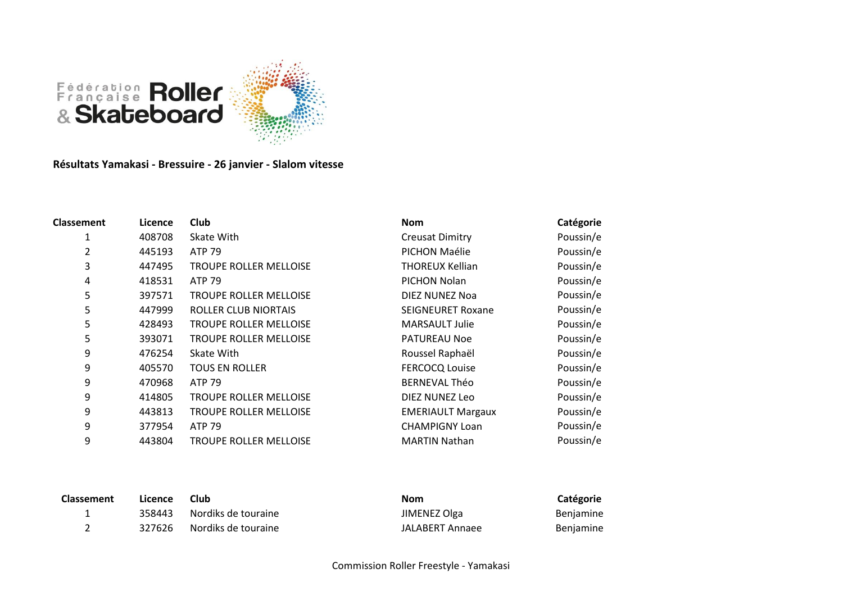

**Résultats Yamakasi - Bressuire - 26 janvier - Slalom vitesse**

| <b>Classement</b> | Licence | <b>Club</b>                   | <b>Nom</b>               | Catégorie |
|-------------------|---------|-------------------------------|--------------------------|-----------|
|                   | 408708  | Skate With                    | <b>Creusat Dimitry</b>   | Poussin/e |
| 2                 | 445193  | <b>ATP 79</b>                 | PICHON Maélie            | Poussin/e |
| 3                 | 447495  | <b>TROUPE ROLLER MELLOISE</b> | THOREUX Kellian          | Poussin/e |
| 4                 | 418531  | <b>ATP 79</b>                 | PICHON Nolan             | Poussin/e |
| 5                 | 397571  | <b>TROUPE ROLLER MELLOISE</b> | DIEZ NUNEZ Noa           | Poussin/e |
| 5                 | 447999  | <b>ROLLER CLUB NIORTAIS</b>   | <b>SEIGNEURET Roxane</b> | Poussin/e |
| 5                 | 428493  | <b>TROUPE ROLLER MELLOISE</b> | <b>MARSAULT Julie</b>    | Poussin/e |
| 5                 | 393071  | <b>TROUPE ROLLER MELLOISE</b> | <b>PATUREAU Noe</b>      | Poussin/e |
| 9                 | 476254  | Skate With                    | Roussel Raphaël          | Poussin/e |
| 9                 | 405570  | <b>TOUS EN ROLLER</b>         | <b>FERCOCQ Louise</b>    | Poussin/e |
| 9                 | 470968  | <b>ATP 79</b>                 | <b>BERNEVAL Théo</b>     | Poussin/e |
| 9                 | 414805  | <b>TROUPE ROLLER MELLOISE</b> | DIEZ NUNEZ Leo           | Poussin/e |
| 9                 | 443813  | <b>TROUPE ROLLER MELLOISE</b> | <b>EMERIAULT Margaux</b> | Poussin/e |
| 9                 | 377954  | <b>ATP 79</b>                 | <b>CHAMPIGNY Loan</b>    | Poussin/e |
| 9                 | 443804  | <b>TROUPE ROLLER MELLOISE</b> | <b>MARTIN Nathan</b>     | Poussin/e |

| <b>Classement</b> | Licence | <b>Club</b>         | <b>Nom</b>      | Catégorie        |
|-------------------|---------|---------------------|-----------------|------------------|
| <u>. на с</u>     | 358443  | Nordiks de touraine | JIMENEZ Olga    | Benjamine        |
|                   | 327626  | Nordiks de touraine | JALABERT Annaee | <b>Beniamine</b> |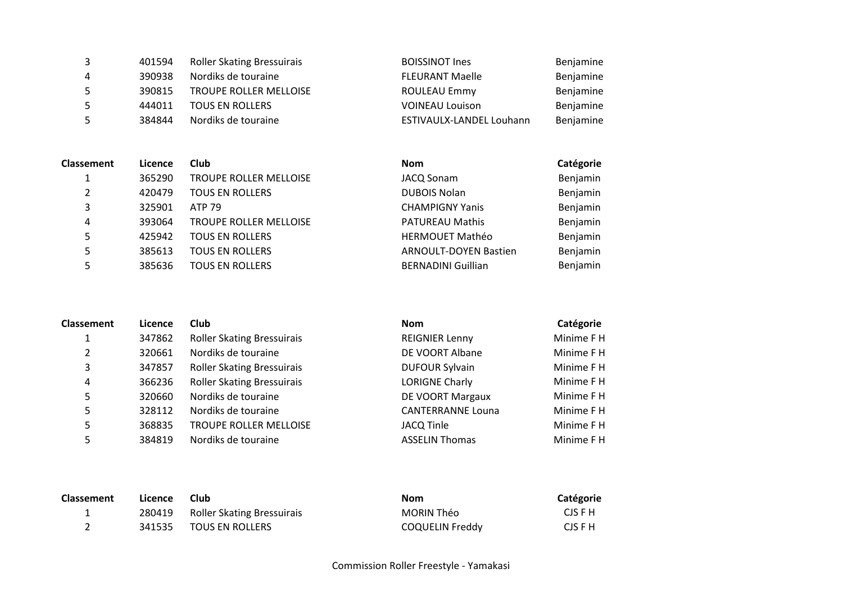|    | 401594 | <b>Roller Skating Bressuirais</b> | <b>BOISSINOT Ines</b>    | Benjamine |
|----|--------|-----------------------------------|--------------------------|-----------|
| 4  | 390938 | Nordiks de touraine               | <b>FLEURANT Maelle</b>   | Benjamine |
| 5. | 390815 | <b>TROUPE ROLLER MELLOISE</b>     | <b>ROULEAU Emmy</b>      | Benjamine |
|    | 444011 | <b>TOUS EN ROLLERS</b>            | <b>VOINEAU Louison</b>   | Benjamine |
| 5  | 384844 | Nordiks de touraine               | ESTIVAULX-LANDEL Louhann | Benjamine |

| <b>Classement</b> | Licence | Club                          | <b>Nom</b>                   | Catégorie |
|-------------------|---------|-------------------------------|------------------------------|-----------|
|                   | 365290  | <b>TROUPE ROLLER MELLOISE</b> | <b>JACQ Sonam</b>            | Benjamin  |
| 2                 | 420479  | <b>TOUS EN ROLLERS</b>        | <b>DUBOIS Nolan</b>          | Benjamin  |
| 3                 | 325901  | ATP 79                        | <b>CHAMPIGNY Yanis</b>       | Benjamin  |
| 4                 | 393064  | <b>TROUPE ROLLER MELLOISE</b> | <b>PATUREAU Mathis</b>       | Benjamin  |
| 5                 | 425942  | <b>TOUS EN ROLLERS</b>        | <b>HERMOUET Mathéo</b>       | Benjamin  |
| 5                 | 385613  | <b>TOUS EN ROLLERS</b>        | <b>ARNOULT-DOYEN Bastien</b> | Benjamin  |
|                   | 385636  | <b>TOUS EN ROLLERS</b>        | <b>BERNADINI Guillian</b>    | Benjamin  |

| <b>Classement</b> | Licence | Club                              | <b>Nom</b>               | Catégorie  |
|-------------------|---------|-----------------------------------|--------------------------|------------|
|                   | 347862  | <b>Roller Skating Bressuirais</b> | <b>REIGNIER Lenny</b>    | Minime F H |
| 2                 | 320661  | Nordiks de touraine               | DE VOORT Albane          | Minime F H |
| 3                 | 347857  | <b>Roller Skating Bressuirais</b> | <b>DUFOUR Sylvain</b>    | Minime F H |
| 4                 | 366236  | <b>Roller Skating Bressuirais</b> | <b>LORIGNE Charly</b>    | Minime F H |
| 5                 | 320660  | Nordiks de touraine               | DE VOORT Margaux         | Minime F H |
| 5                 | 328112  | Nordiks de touraine               | <b>CANTERRANNE Louna</b> | Minime F H |
| 5                 | 368835  | <b>TROUPE ROLLER MELLOISE</b>     | <b>JACQ Tinle</b>        | Minime F H |
| 5                 | 384819  | Nordiks de touraine               | <b>ASSELIN Thomas</b>    | Minime F H |

| <b>Classement</b> | Licence | <b>Club</b>                | Nom                    | Catégorie |
|-------------------|---------|----------------------------|------------------------|-----------|
|                   | 280419  | Roller Skating Bressuirais | MORIN Théo             | CJS F H   |
|                   | 341535  | <b>TOUS EN ROLLERS</b>     | <b>COQUELIN Freddy</b> | CJS F H   |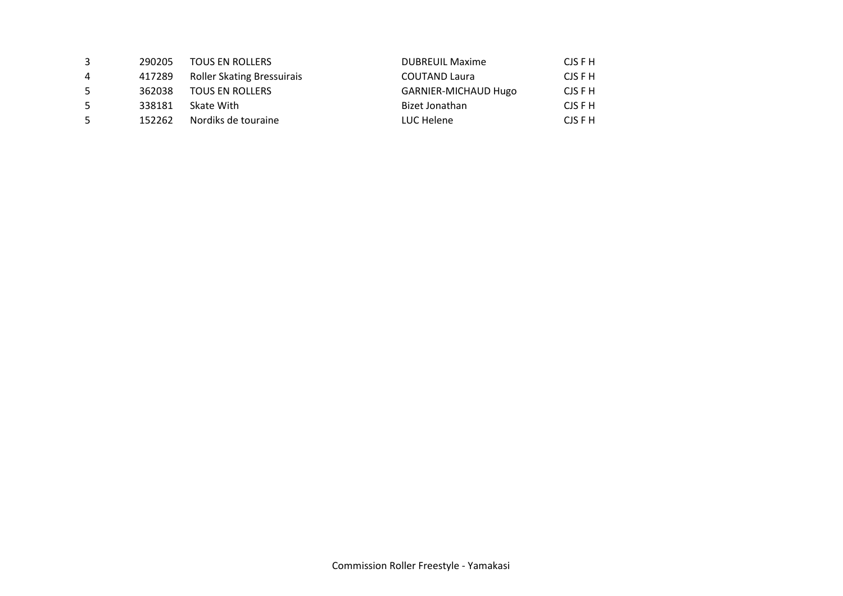| 3 | 290205 | <b>TOUS EN ROLLERS</b>            | <b>DUBREUIL Maxime</b>      | CJS F H |
|---|--------|-----------------------------------|-----------------------------|---------|
| 4 | 417289 | <b>Roller Skating Bressuirais</b> | <b>COUTAND Laura</b>        | CJS F H |
| 5 | 362038 | <b>TOUS EN ROLLERS</b>            | <b>GARNIER-MICHAUD Hugo</b> | CJS F H |
| 5 | 338181 | Skate With                        | Bizet Jonathan              | CJS F H |
| 5 | 152262 | Nordiks de touraine               | LUC Helene                  | CJS F H |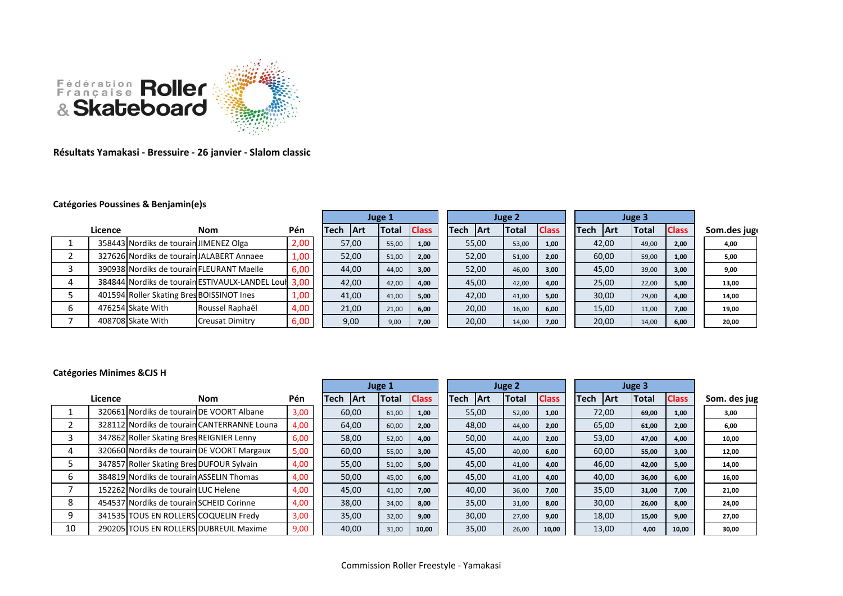

**Résultats Yamakasi - Bressuire - 26 janvier - Slalom classic**

## **Catégories Poussines & Benjamin(e)s**

|         |                                           |                                                      |      | Juge 1 |             |              | Juge 2       |       |             |       | Juge 3       |       |             |              |              |              |
|---------|-------------------------------------------|------------------------------------------------------|------|--------|-------------|--------------|--------------|-------|-------------|-------|--------------|-------|-------------|--------------|--------------|--------------|
| Licence |                                           | <b>Nom</b>                                           | Pén  | Tech   | <b>IArt</b> | <b>Total</b> | <b>Class</b> | Tech  | <b>IArt</b> | Total | <b>Class</b> | lTech | <b>IArt</b> | <b>Total</b> | <b>Class</b> | Som.des jugo |
|         | 358443 Nordiks de tourain JIMENEZ Olga    |                                                      | 2,00 |        | 57,00       | 55,00        | 1,00         | 55,00 |             | 53,00 | 1,00         |       | 42,00       | 49,00        | 2,00         | 4,00         |
|         |                                           | 327626 Nordiks de tourain JALABERT Annaee            | 1,00 |        | 52,00       | 51,00        | 2,00         | 52,00 |             | 51,00 | 2,00         |       | 60,00       | 59,00        | 1,00         | 5,00         |
|         |                                           | 390938 Nordiks de tourain FLEURANT Maelle            | 6,00 |        | 44,00       | 44,00        | 3,00         | 52,00 |             | 46,00 | 3,00         |       | 45,00       | 39,00        | 3,00         | 9,00         |
|         |                                           | 384844 Nordiks de tourain ESTIVAULX-LANDEL Lour 3,00 |      |        | 42,00       | 42,00        | 4,00         | 45,00 |             | 42,00 | 4,00         |       | 25,00       | 22,00        | 5,00         | 13,00        |
|         | 401594 Roller Skating Bres BOISSINOT Ines |                                                      | 1,00 |        | 41,00       | 41,00        | 5,00         | 42,00 |             | 41,00 | 5,00         |       | 30,00       | 29,00        | 4,00         | 14,00        |
|         | 476254 Skate With                         | Roussel Raphaël                                      | 4,00 |        | 21,00       | 21,00        | 6,00         | 20,00 |             | 16,00 | 6,00         |       | 15,00       | 11,00        | 7,00         | 19,00        |
|         | 408708 Skate With                         | <b>Creusat Dimitry</b>                               | 6,00 |        | 9,00        | 9,00         | 7,00         | 20,00 |             | 14,00 | 7,00         |       | 20,00       | 14,00        | 6,00         | 20,00        |

## **Catégories Minimes &CJS H**

|    |         |                                           |                                             |      |             | Juge 1     |              |              | Juge 2 |             |            |       |              | Juge 3      |            |       |              |              |
|----|---------|-------------------------------------------|---------------------------------------------|------|-------------|------------|--------------|--------------|--------|-------------|------------|-------|--------------|-------------|------------|-------|--------------|--------------|
|    | Licence |                                           | Nom                                         | Pén  | <b>Tech</b> | <b>Art</b> | <b>Total</b> | <b>Class</b> |        | <b>Tech</b> | <b>Art</b> | Total | <b>Class</b> | <b>Tech</b> | <b>Art</b> | Total | <b>Class</b> | Som. des jug |
|    |         |                                           | 320661 Nordiks de tourain DE VOORT Albane   | 3,00 | 60,00       |            | 61,00        | 1,00         |        |             | 55,00      | 52,00 | 1,00         |             | 72,00      | 69,00 | 1,00         | 3,00         |
|    |         |                                           | 328112 Nordiks de tourain CANTERRANNE Louna | 4,00 | 64,00       |            | 60,00        | 2,00         |        |             | 48,00      | 44,00 | 2,00         |             | 65,00      | 61,00 | 2,00         | 6,00         |
| 3  |         | 347862 Roller Skating Bres REIGNIER Lenny |                                             | 6,00 |             | 58,00      | 52,00        | 4,00         |        |             | 50,00      | 44,00 | 2,00         |             | 53,00      | 47,00 | 4,00         | 10,00        |
| 4  |         |                                           | 320660 Nordiks de tourain DE VOORT Margaux  | 5,00 | 60,00       |            | 55,00        | 3,00         |        |             | 45,00      | 40,00 | 6,00         |             | 60,00      | 55,00 | 3,00         | 12,00        |
|    |         | 347857 Roller Skating Bres DUFOUR Sylvain |                                             | 4,00 |             | 55,00      | 51,00        | 5,00         |        |             | 45,00      | 41,00 | 4,00         |             | 46,00      | 42,00 | 5,00         | 14,00        |
| 6  |         | 384819 Nordiks de tourain ASSELIN Thomas  |                                             | 4,00 |             | 50,00      | 45,00        | 6,00         |        |             | 45,00      | 41,00 | 4,00         |             | 40,00      | 36,00 | 6,00         | 16,00        |
|    |         | 152262 Nordiks de tourain LUC Helene      |                                             | 4,00 | 45,00       |            | 41,00        | 7,00         |        |             | 40,00      | 36,00 | 7,00         |             | 35,00      | 31,00 | 7,00         | 21,00        |
| 8  |         | 454537 Nordiks de tourain SCHEID Corinne  |                                             | 4,00 |             | 38,00      | 34,00        | 8,00         |        |             | 35,00      | 31,00 | 8,00         |             | 30,00      | 26,00 | 8,00         | 24,00        |
| 9  |         | 341535 TOUS EN ROLLERS COQUELIN Fredv     |                                             | 3,00 |             | 35,00      | 32,00        | 9,00         |        |             | 30,00      | 27,00 | 9,00         |             | 18,00      | 15,00 | 9,00         | 27,00        |
| 10 |         |                                           | 290205 TOUS EN ROLLERS DUBREUIL Maxime      | 9,00 | 40,00       |            | 31,00        | 10,00        |        |             | 35,00      | 26,00 | 10,00        |             | 13,00      | 4,00  | 10,00        | 30,00        |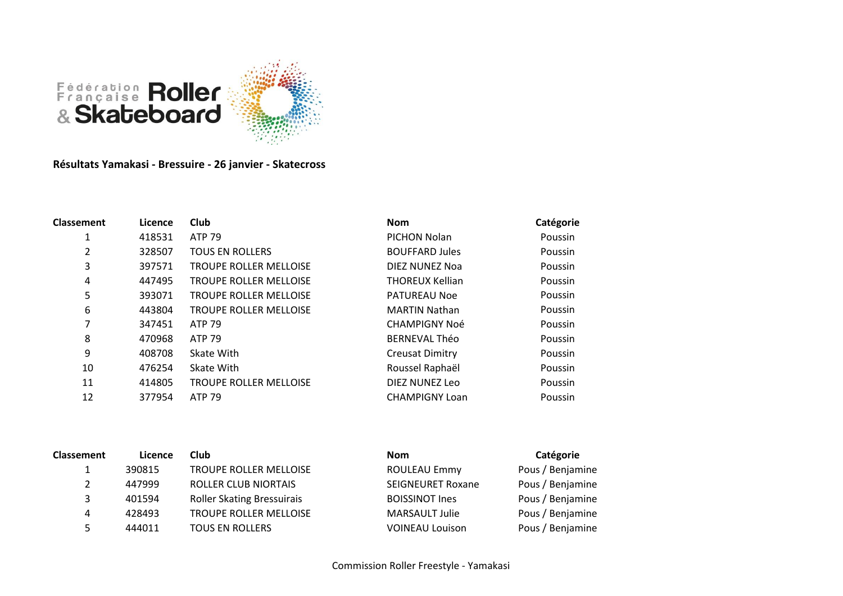

**Résultats Yamakasi - Bressuire - 26 janvier - Skatecross**

| <b>Classement</b> | Licence | Club                          | <b>Nom</b>             | Catégorie |
|-------------------|---------|-------------------------------|------------------------|-----------|
| 1                 | 418531  | <b>ATP 79</b>                 | PICHON Nolan           | Poussin   |
| 2                 | 328507  | <b>TOUS EN ROLLERS</b>        | <b>BOUFFARD Jules</b>  | Poussin   |
| 3                 | 397571  | <b>TROUPE ROLLER MELLOISE</b> | DIEZ NUNEZ Noa         | Poussin   |
| 4                 | 447495  | <b>TROUPE ROLLER MELLOISE</b> | <b>THOREUX Kellian</b> | Poussin   |
| 5                 | 393071  | <b>TROUPE ROLLER MELLOISE</b> | <b>PATUREAU Noe</b>    | Poussin   |
| 6                 | 443804  | <b>TROUPE ROLLER MELLOISE</b> | <b>MARTIN Nathan</b>   | Poussin   |
| 7                 | 347451  | ATP 79                        | <b>CHAMPIGNY Noé</b>   | Poussin   |
| 8                 | 470968  | <b>ATP 79</b>                 | <b>BERNEVAL Théo</b>   | Poussin   |
| 9                 | 408708  | Skate With                    | <b>Creusat Dimitry</b> | Poussin   |
| 10                | 476254  | Skate With                    | Roussel Raphaël        | Poussin   |
| 11                | 414805  | <b>TROUPE ROLLER MELLOISE</b> | DIEZ NUNEZ Leo         | Poussin   |
| 12                | 377954  | ATP 79                        | <b>CHAMPIGNY Loan</b>  | Poussin   |
|                   |         |                               |                        |           |

| <b>Classement</b> | Licence | <b>Club</b>                       | <b>Nom</b>               | Catégorie        |
|-------------------|---------|-----------------------------------|--------------------------|------------------|
|                   | 390815  | <b>TROUPE ROLLER MELLOISE</b>     | <b>ROULEAU Emmy</b>      | Pous / Benjamine |
| 2                 | 447999  | ROLLER CLUB NIORTAIS              | <b>SEIGNEURET Roxane</b> | Pous / Benjamine |
| 3                 | 401594  | <b>Roller Skating Bressuirais</b> | <b>BOISSINOT Ines</b>    | Pous / Benjamine |
| 4                 | 428493  | TROUPE ROLLER MELLOISE            | <b>MARSAULT Julie</b>    | Pous / Benjamine |
| 5                 | 444011  | <b>TOUS EN ROLLERS</b>            | <b>VOINEAU Louison</b>   | Pous / Benjamine |